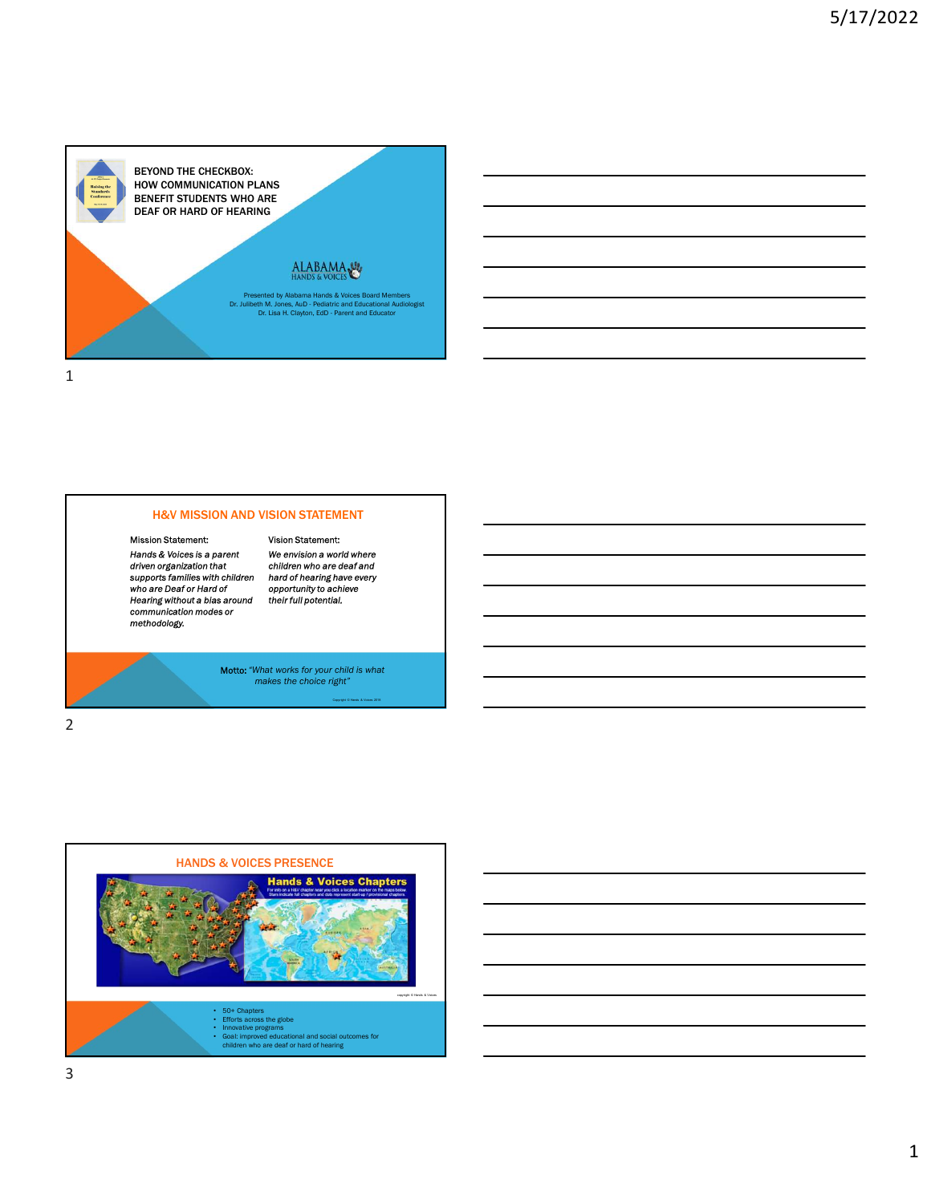

### H&V MISSION AND VISION STATEMENT

### Mission Statement:

Hands & Voices is a parent We envision a world where<br>driven organization that children who are deaf and<br>supports families with children hard of hearing have every<br>who are Deaf or Hard of comportunity to achieve<br>methodology

Mention and where countries<br>hard of hearing have every opportunity to achieve<br>their full potential.

Vision Statement:

Motto: "What works for your child is what makes the choice right"

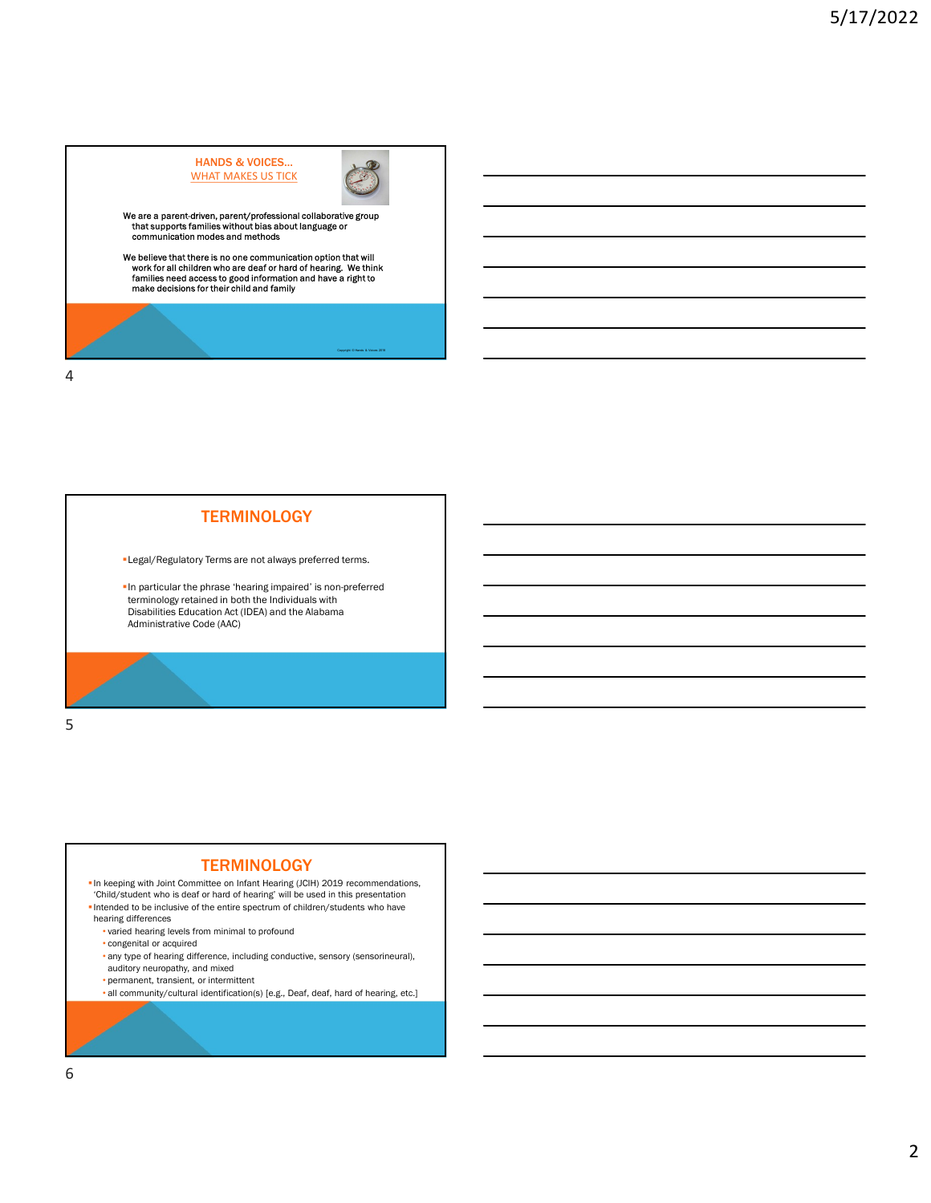

# **TERMINOLOGY**

Legal/Regulatory Terms are not always preferred terms.

In particular the phrase 'hearing impaired' is non-preferred<br>terminology retained in both the Individuals with Disabilities Education Act (IDEA) and the Alabama Administrative Code (AAC)

 $5<sub>5</sub>$ 

### **TERMINOLOGY**

• In keeping with Joint Committee on Infant Hearing (JCIH) 2019 recommendations, 'Child/student who is deaf or hard of hearing' will be used in this presentation

- Intended to be inclusive of the entire spectrum of children/students who have hearing differences
	- varied hearing levels from minimal to profound
	- congenital or acquired
	- any type of hearing difference, including conductive, sensory (sensorineural), auditory neuropathy, and mixed
	- permanent, transient, or intermittent
	- all community/cultural identification(s) [e.g., Deaf, deaf, hard of hearing, etc.]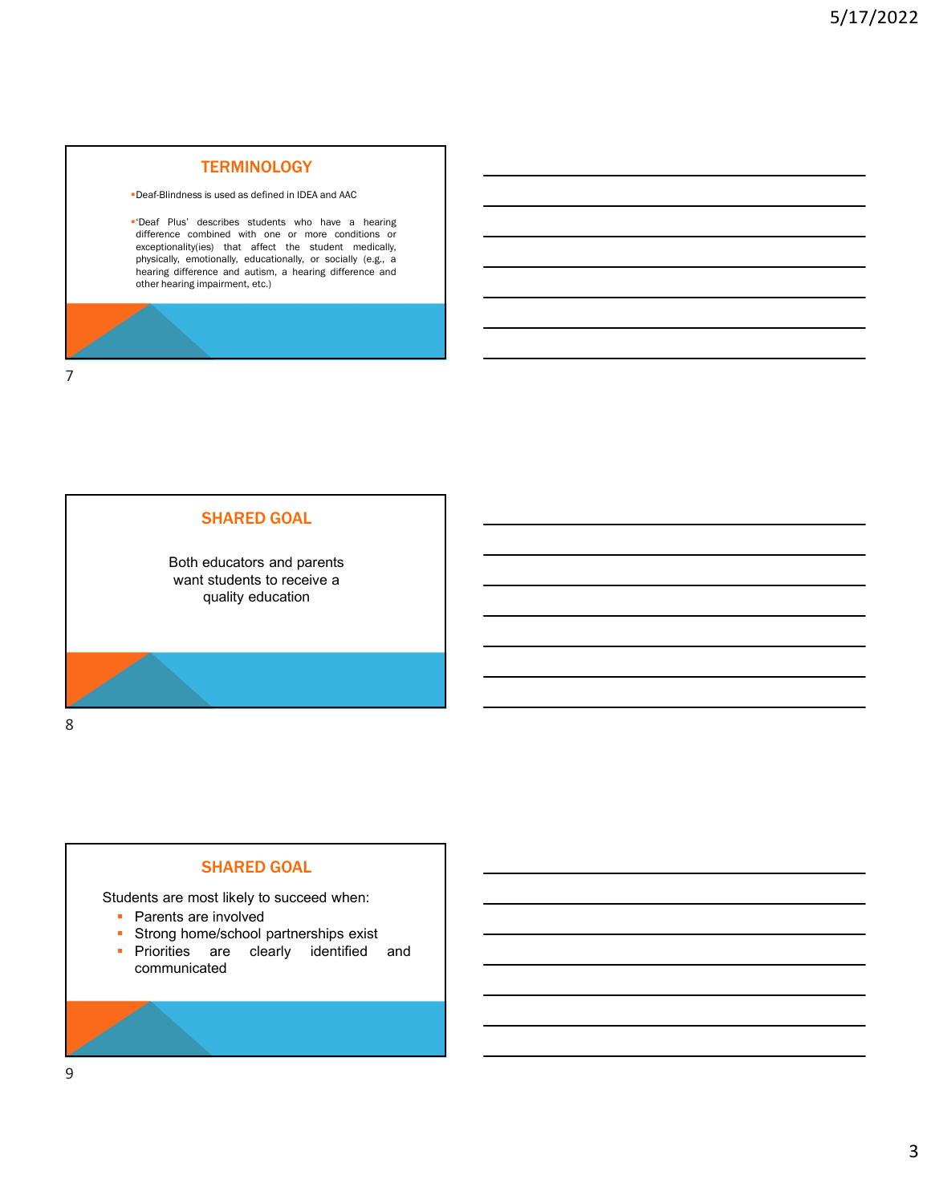# **TERMINOLOGY**

Deaf-Blindness is used as defined in IDEA and AAC

TERMINOLOGY<br>
"Deaf-Blindness is used as defined in DEA and AAC<br>
"Deaf Plus' describes students who have a hearing<br>
difference combined with one or more conditions or<br>
experimentic difference and dusting afference and beari **S/17/2**<br>
Deaf-Blindness is used as defined in IDEA and AAC<br>
Deaf-Blindness is used as defined in IDEA and AAC<br>
"Deaf-Plus" describes students who have a hearing<br>
exceptionality(ies) that affect the student medically,<br>
phy **EXAMINOLOGY**<br>
Dead: Blindness is used as defined in IDEA and AAC<br>
Dead: Plus': describes students with the a new a hearing<br>
clifference combined with one or more conditions or<br>
exceptionality(es), that affect the student 5/17/2<br>
Deaf-Blindness is used as defined in IDEA and AAC<br>
Deaf-Blindness is used as defined in IDEA and AAC<br>
There Plus, describes students who have a new or socially<br>
exceptionally, or socially and there is a maximum of FERMINOLOGY<br>
Dead-Elindress is used as defined in IDEA and AAC<br>
Dead Flus' describes students who have a hearing<br>
exceptionality(ies) that a free the student medicins, or<br>
exceptionality(ies) that a free the student medici **TERMINOLOGY**<br>
Deaf-Blindness is used as defined in IDEA and AAC<br>
"Deaf- Plus" describes students who have a hearing<br>
exceptionality(eis) that affect the student medicials,<br>
exceptionality(eis) that affect the student medi

7



## SHARED GOAL

- 
- 
- communicated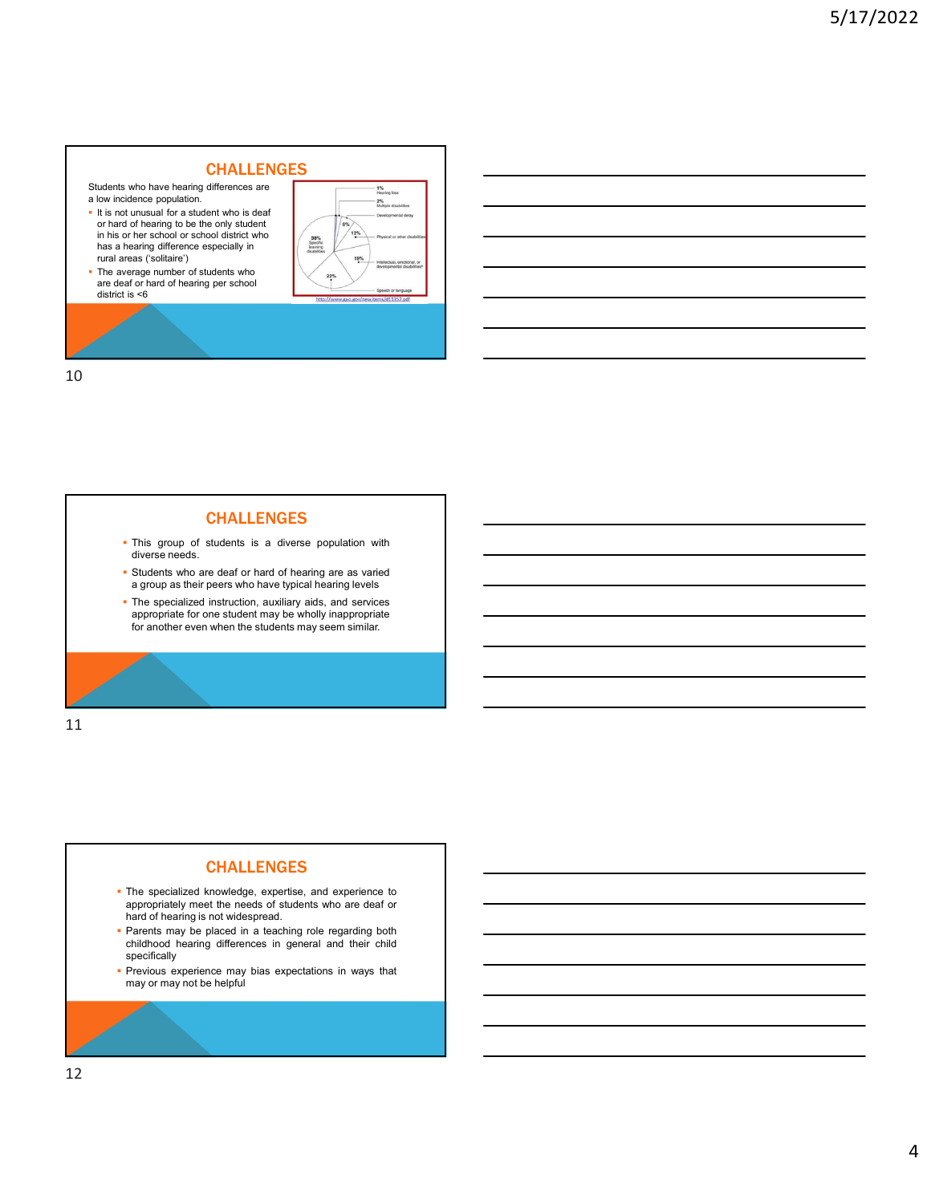# CHALLENGES

Students who have hearing differences are the students who have hearing differences are the the students of the the students of the students are the students of the students of the students of the students of the students

- $\blacksquare$  It is not unusual for a student who is deaf or hard of hearing to be the only student<br>in his or her school or school district who in his or her school or school district who has a hearing difference especially in has a hearing difference especially in **the contract of the second respectively rural areas** ('solitaire')
- The average number of students who are deaf or hard of hearing per school district is <6



10

# CHALLENGES

- 
- 
- 

11

### CHALLENGES

- The specialized knowledge and the specialized knowledge and the specialized knowledge and a specialized knowledge and a specialized knowledge and a specialized knowledge and a specialized knowledge, and experience to the s **CHALLENGES**<br>
This group of students is a diverse population with<br>
decomposition and start of students are a warrior<br>
The specialized is considered to that of students who are deaf or<br>
Expressions who are deaf or students Final group of students is a diverse population with<br>
diverse needs.<br>
Final group is the presentiated in the specialized instruction, another system a teaching relevant<br>
Final group of the specialized instruction, and they childhood hearing are a straight and a straight and a straight and a straight straight and a straight and a straight and a straight and the specialized instruction, assuming also an observed and services in the specialized Previous experience may be a realized by the control of the specifical control of the specifical control of the specifical control of the specifical control of the specifical control of the specifical control of the specif a group as ner poer wind may to you have to you have the specialized instruction, awaiting a disk, and services<br>parameter for on student may be wholly inappropriate.<br>for another even when the students may seem similar.<br>The
- Parents may be placed in a teaching role regarding both childhood hearing differences in general and their child specifically
-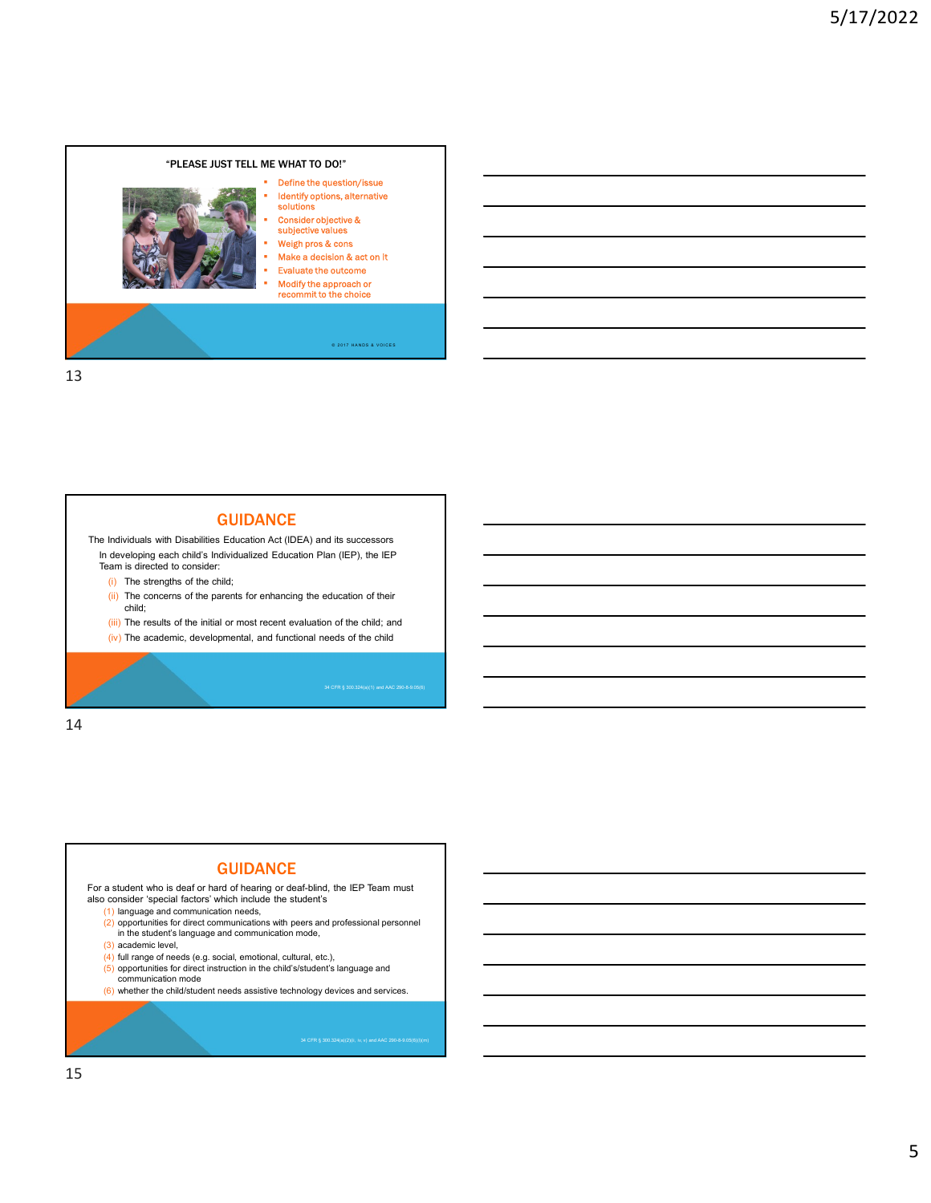

# **GUIDANCE**

The Individuals with Disabilities Education Act (IDEA) and its successors In developing each child's Individualized Education Plan (IEP), the IEP Team is directed to consider:

- (i) The strengths of the child;
- (ii) The concerns of the parents for enhancing the education of their child;

34 CFR § 300.324(a)(1) and AAC 290-8-9.05(6)

- (iii) The results of the initial or most recent evaluation of the child; and
- 

14

### **GUIDANCE**

For a student who is deaf or hard of hearing or deaf-blind, the IEP Team must also consider 'special factors' which include the student's

- (1) language and communication needs,
- $(2)$  opportunities for direct communications with peers and professional personnel in the student's language and communication mode,
- (3) academic level,
- (4) full range of needs (e.g. social, emotional, cultural, etc.),<br>(5) opportunities for direct instruction in the child's/student's language and
- 
- 
- (5) opportunities for direct instruction in the child's/student's language and<br>
communication mode<br>
(6) whether the child/student needs assistive technology devices and services.<br>  $\frac{1}{2}$ <br>  $\frac{1}{2}$ <br>  $\frac{1}{2}$ <br>  $\frac{1}{2}$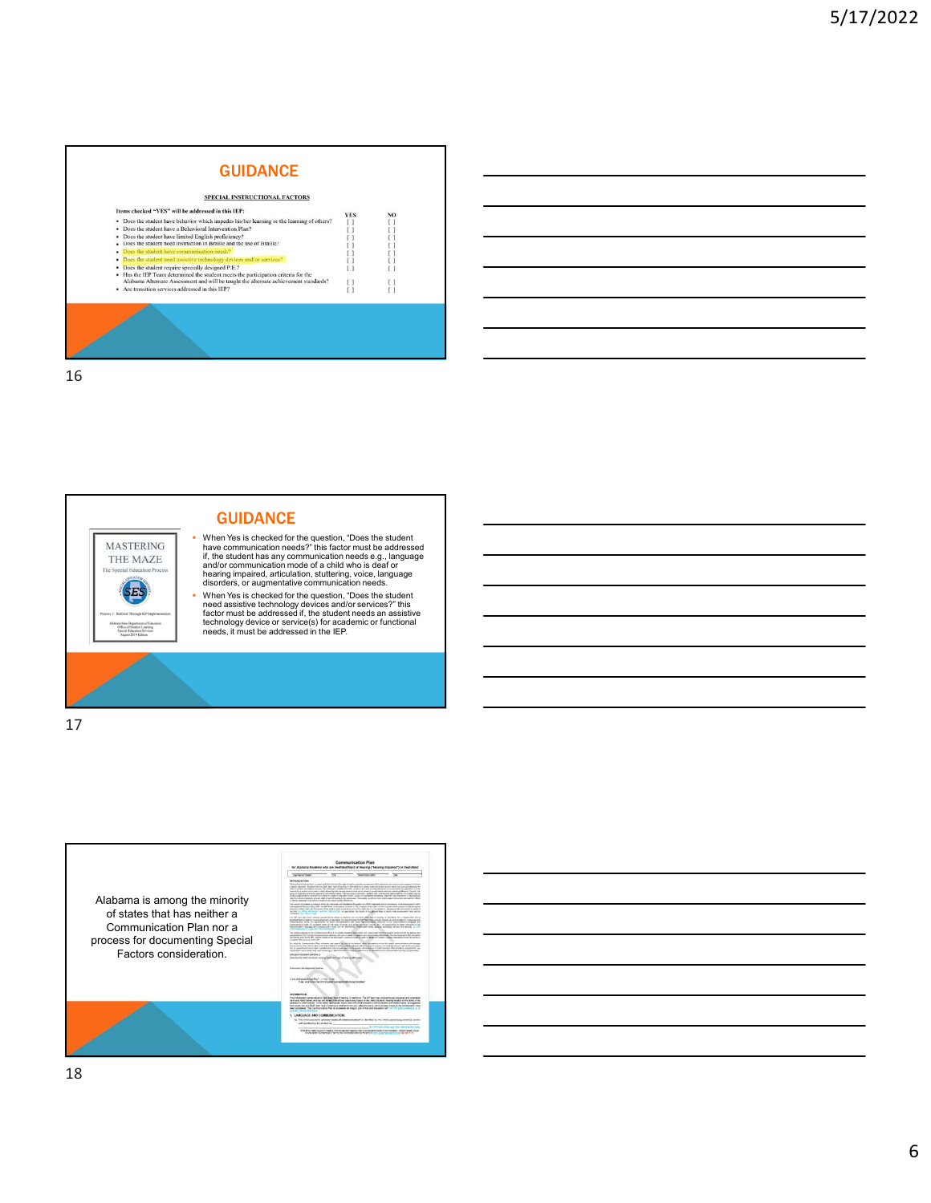

GUIDANCE



 When Yes is checked for the question, "Does the student have communication needs?" this factor must be addressed if, the student has any communication needs e.g., language<br>and/or communication mode of a child who is deaf or<br>hearing impaired, articulation, stuttering, voice, language<br>disorders, or augmentative communication needs. ■ When Yes is checked for the question, "Does the student<br>need assistive technology devices and/or services?" this<br>factor must be addressed if, the student needs an assistive<br>technology device or service(s) for academic o